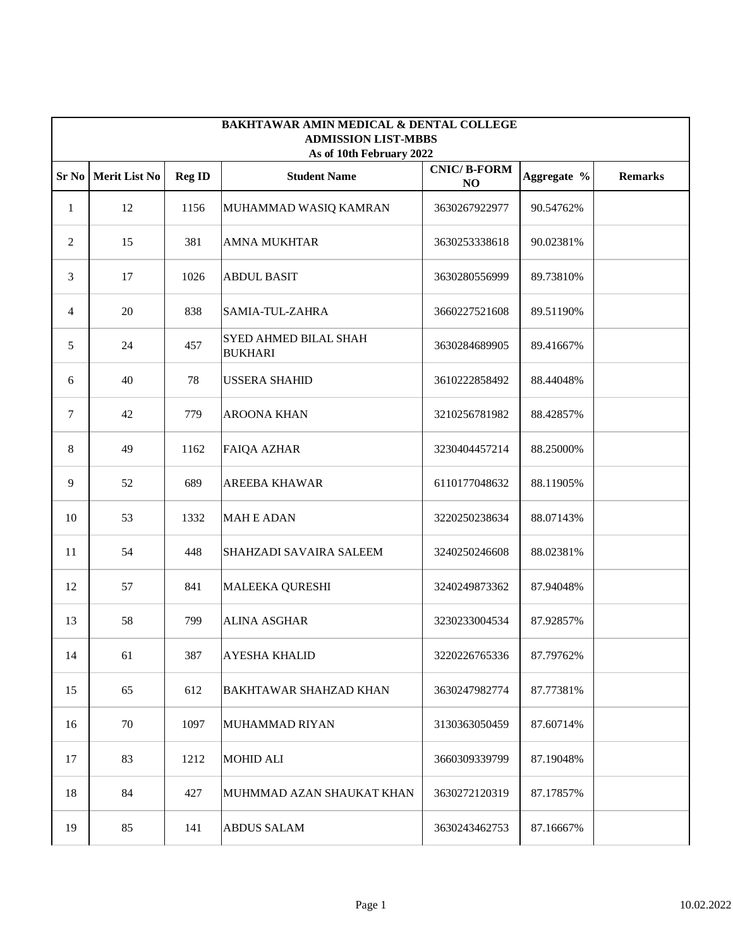| BAKHTAWAR AMIN MEDICAL & DENTAL COLLEGE<br><b>ADMISSION LIST-MBBS</b> |                      |               |                                         |                          |             |                |  |
|-----------------------------------------------------------------------|----------------------|---------------|-----------------------------------------|--------------------------|-------------|----------------|--|
| As of 10th February 2022                                              |                      |               |                                         |                          |             |                |  |
| Sr No                                                                 | <b>Merit List No</b> | <b>Reg ID</b> | <b>Student Name</b>                     | <b>CNIC/B-FORM</b><br>NO | Aggregate % | <b>Remarks</b> |  |
| $\mathbf{1}$                                                          | 12                   | 1156          | MUHAMMAD WASIQ KAMRAN                   | 3630267922977            | 90.54762%   |                |  |
| 2                                                                     | 15                   | 381           | <b>AMNA MUKHTAR</b>                     | 3630253338618            | 90.02381%   |                |  |
| 3                                                                     | 17                   | 1026          | <b>ABDUL BASIT</b>                      | 3630280556999            | 89.73810%   |                |  |
| $\overline{4}$                                                        | 20                   | 838           | SAMIA-TUL-ZAHRA                         | 3660227521608            | 89.51190%   |                |  |
| 5                                                                     | 24                   | 457           | SYED AHMED BILAL SHAH<br><b>BUKHARI</b> | 3630284689905            | 89.41667%   |                |  |
| 6                                                                     | 40                   | 78            | <b>USSERA SHAHID</b>                    | 3610222858492            | 88.44048%   |                |  |
| 7                                                                     | 42                   | 779           | <b>AROONA KHAN</b>                      | 3210256781982            | 88.42857%   |                |  |
| 8                                                                     | 49                   | 1162          | <b>FAIQA AZHAR</b>                      | 3230404457214            | 88.25000%   |                |  |
| 9                                                                     | 52                   | 689           | <b>AREEBA KHAWAR</b>                    | 6110177048632            | 88.11905%   |                |  |
| 10                                                                    | 53                   | 1332          | <b>MAHE ADAN</b>                        | 3220250238634            | 88.07143%   |                |  |
| 11                                                                    | 54                   | 448           | SHAHZADI SAVAIRA SALEEM                 | 3240250246608            | 88.02381%   |                |  |
| 12                                                                    | 57                   | 841           | <b>MALEEKA QURESHI</b>                  | 3240249873362            | 87.94048%   |                |  |
| 13                                                                    | 58                   | 799           | <b>ALINA ASGHAR</b>                     | 3230233004534            | 87.92857%   |                |  |
| 14                                                                    | 61                   | 387           | <b>AYESHA KHALID</b>                    | 3220226765336            | 87.79762%   |                |  |
| 15                                                                    | 65                   | 612           | BAKHTAWAR SHAHZAD KHAN                  | 3630247982774            | 87.77381%   |                |  |
| 16                                                                    | 70                   | 1097          | <b>MUHAMMAD RIYAN</b>                   | 3130363050459            | 87.60714%   |                |  |
| 17                                                                    | 83                   | 1212          | <b>MOHID ALI</b>                        | 3660309339799            | 87.19048%   |                |  |
| 18                                                                    | 84                   | 427           | MUHMMAD AZAN SHAUKAT KHAN               | 3630272120319            | 87.17857%   |                |  |
| 19                                                                    | 85                   | 141           | <b>ABDUS SALAM</b>                      | 3630243462753            | 87.16667%   |                |  |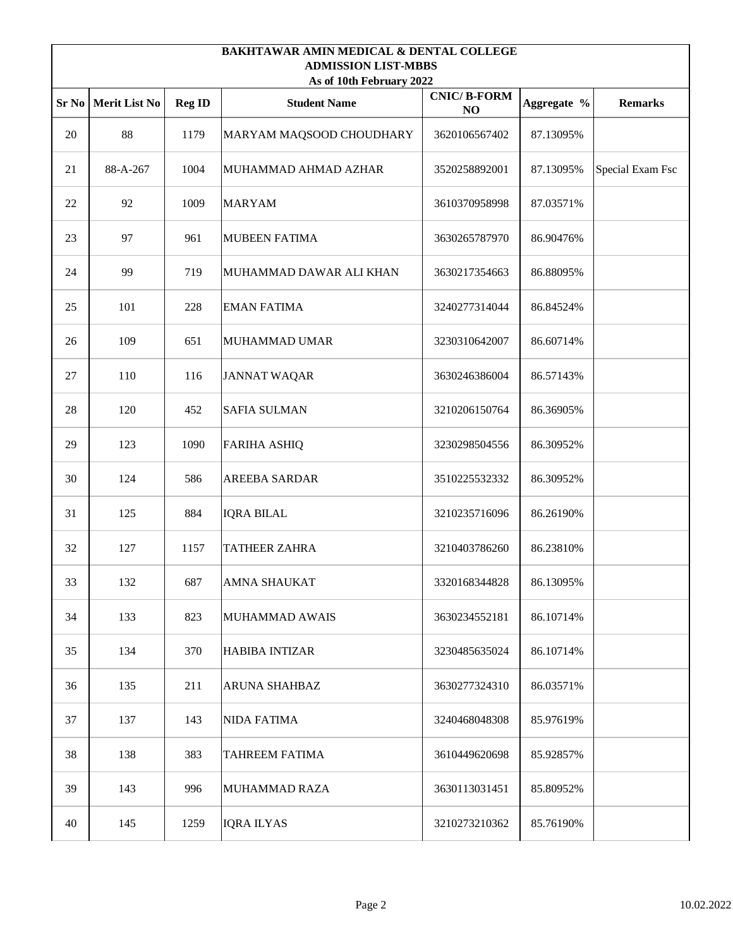| BAKHTAWAR AMIN MEDICAL & DENTAL COLLEGE<br><b>ADMISSION LIST-MBBS</b><br>As of 10th February 2022 |                      |               |                          |                          |             |                  |
|---------------------------------------------------------------------------------------------------|----------------------|---------------|--------------------------|--------------------------|-------------|------------------|
| Sr No                                                                                             | <b>Merit List No</b> | <b>Reg ID</b> | <b>Student Name</b>      | <b>CNIC/B-FORM</b><br>NO | Aggregate % | <b>Remarks</b>   |
| 20                                                                                                | 88                   | 1179          | MARYAM MAQSOOD CHOUDHARY | 3620106567402            | 87.13095%   |                  |
| 21                                                                                                | 88-A-267             | 1004          | MUHAMMAD AHMAD AZHAR     | 3520258892001            | 87.13095%   | Special Exam Fsc |
| 22                                                                                                | 92                   | 1009          | <b>MARYAM</b>            | 3610370958998            | 87.03571%   |                  |
| 23                                                                                                | 97                   | 961           | <b>MUBEEN FATIMA</b>     | 3630265787970            | 86.90476%   |                  |
| 24                                                                                                | 99                   | 719           | MUHAMMAD DAWAR ALI KHAN  | 3630217354663            | 86.88095%   |                  |
| 25                                                                                                | 101                  | 228           | <b>EMAN FATIMA</b>       | 3240277314044            | 86.84524%   |                  |
| 26                                                                                                | 109                  | 651           | MUHAMMAD UMAR            | 3230310642007            | 86.60714%   |                  |
| 27                                                                                                | 110                  | 116           | <b>JANNAT WAQAR</b>      | 3630246386004            | 86.57143%   |                  |
| 28                                                                                                | 120                  | 452           | <b>SAFIA SULMAN</b>      | 3210206150764            | 86.36905%   |                  |
| 29                                                                                                | 123                  | 1090          | <b>FARIHA ASHIQ</b>      | 3230298504556            | 86.30952%   |                  |
| 30                                                                                                | 124                  | 586           | <b>AREEBA SARDAR</b>     | 3510225532332            | 86.30952%   |                  |
| 31                                                                                                | 125                  | 884           | <b>IQRA BILAL</b>        | 3210235716096            | 86.26190%   |                  |
| 32                                                                                                | 127                  | 1157          | <b>TATHEER ZAHRA</b>     | 3210403786260            | 86.23810%   |                  |
| 33                                                                                                | 132                  | 687           | <b>AMNA SHAUKAT</b>      | 3320168344828            | 86.13095%   |                  |
| 34                                                                                                | 133                  | 823           | MUHAMMAD AWAIS           | 3630234552181            | 86.10714%   |                  |
| 35                                                                                                | 134                  | 370           | <b>HABIBA INTIZAR</b>    | 3230485635024            | 86.10714%   |                  |
| 36                                                                                                | 135                  | 211           | ARUNA SHAHBAZ            | 3630277324310            | 86.03571%   |                  |
| 37                                                                                                | 137                  | 143           | <b>NIDA FATIMA</b>       | 3240468048308            | 85.97619%   |                  |
| 38                                                                                                | 138                  | 383           | TAHREEM FATIMA           | 3610449620698            | 85.92857%   |                  |
| 39                                                                                                | 143                  | 996           | <b>MUHAMMAD RAZA</b>     | 3630113031451            | 85.80952%   |                  |
| 40                                                                                                | 145                  | 1259          | <b>IQRA ILYAS</b>        | 3210273210362            | 85.76190%   |                  |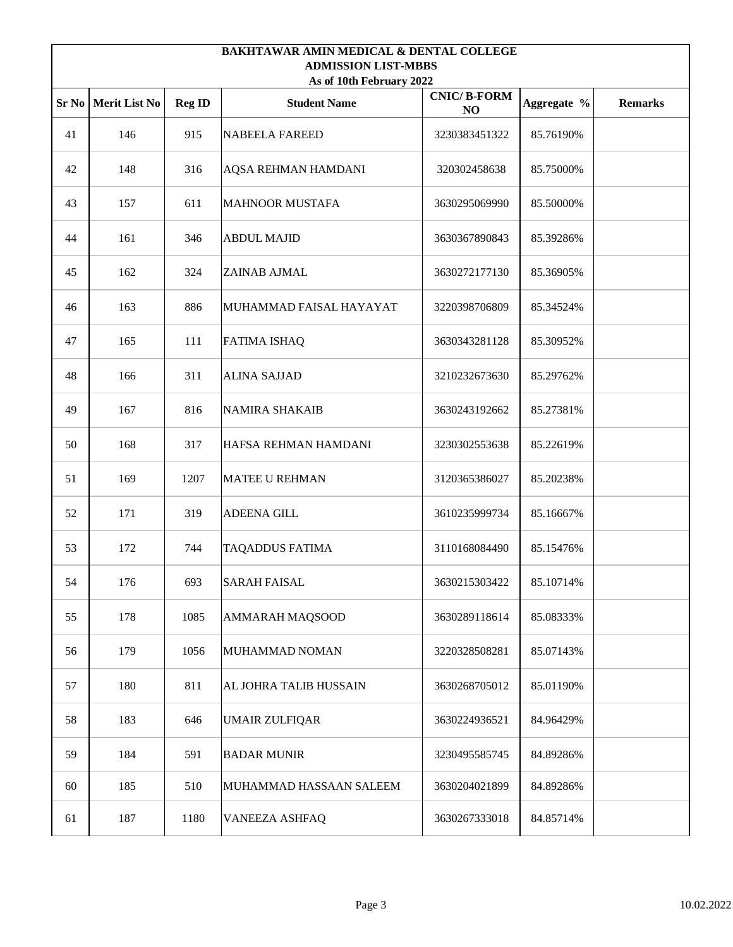| BAKHTAWAR AMIN MEDICAL & DENTAL COLLEGE<br><b>ADMISSION LIST-MBBS</b><br>As of 10th February 2022 |               |               |                         |                          |             |                |
|---------------------------------------------------------------------------------------------------|---------------|---------------|-------------------------|--------------------------|-------------|----------------|
| Sr No                                                                                             | Merit List No | <b>Reg ID</b> | <b>Student Name</b>     | <b>CNIC/B-FORM</b><br>NO | Aggregate % | <b>Remarks</b> |
| 41                                                                                                | 146           | 915           | <b>NABEELA FAREED</b>   | 3230383451322            | 85.76190%   |                |
| 42                                                                                                | 148           | 316           | AQSA REHMAN HAMDANI     | 320302458638             | 85.75000%   |                |
| 43                                                                                                | 157           | 611           | <b>MAHNOOR MUSTAFA</b>  | 3630295069990            | 85.50000%   |                |
| 44                                                                                                | 161           | 346           | <b>ABDUL MAJID</b>      | 3630367890843            | 85.39286%   |                |
| 45                                                                                                | 162           | 324           | ZAINAB AJMAL            | 3630272177130            | 85.36905%   |                |
| 46                                                                                                | 163           | 886           | MUHAMMAD FAISAL HAYAYAT | 3220398706809            | 85.34524%   |                |
| 47                                                                                                | 165           | 111           | <b>FATIMA ISHAQ</b>     | 3630343281128            | 85.30952%   |                |
| 48                                                                                                | 166           | 311           | <b>ALINA SAJJAD</b>     | 3210232673630            | 85.29762%   |                |
| 49                                                                                                | 167           | 816           | <b>NAMIRA SHAKAIB</b>   | 3630243192662            | 85.27381%   |                |
| 50                                                                                                | 168           | 317           | HAFSA REHMAN HAMDANI    | 3230302553638            | 85.22619%   |                |
| 51                                                                                                | 169           | 1207          | <b>MATEE U REHMAN</b>   | 3120365386027            | 85.20238%   |                |
| 52                                                                                                | 171           | 319           | <b>ADEENA GILL</b>      | 3610235999734            | 85.16667%   |                |
| 53                                                                                                | 172           | 744           | <b>TAQADDUS FATIMA</b>  | 3110168084490            | 85.15476%   |                |
| 54                                                                                                | 176           | 693           | <b>SARAH FAISAL</b>     | 3630215303422            | 85.10714%   |                |
| 55                                                                                                | 178           | 1085          | AMMARAH MAQSOOD         | 3630289118614            | 85.08333%   |                |
| 56                                                                                                | 179           | 1056          | MUHAMMAD NOMAN          | 3220328508281            | 85.07143%   |                |
| 57                                                                                                | 180           | 811           | AL JOHRA TALIB HUSSAIN  | 3630268705012            | 85.01190%   |                |
| 58                                                                                                | 183           | 646           | <b>UMAIR ZULFIQAR</b>   | 3630224936521            | 84.96429%   |                |
| 59                                                                                                | 184           | 591           | <b>BADAR MUNIR</b>      | 3230495585745            | 84.89286%   |                |
| 60                                                                                                | 185           | 510           | MUHAMMAD HASSAAN SALEEM | 3630204021899            | 84.89286%   |                |
| 61                                                                                                | 187           | 1180          | VANEEZA ASHFAQ          | 3630267333018            | 84.85714%   |                |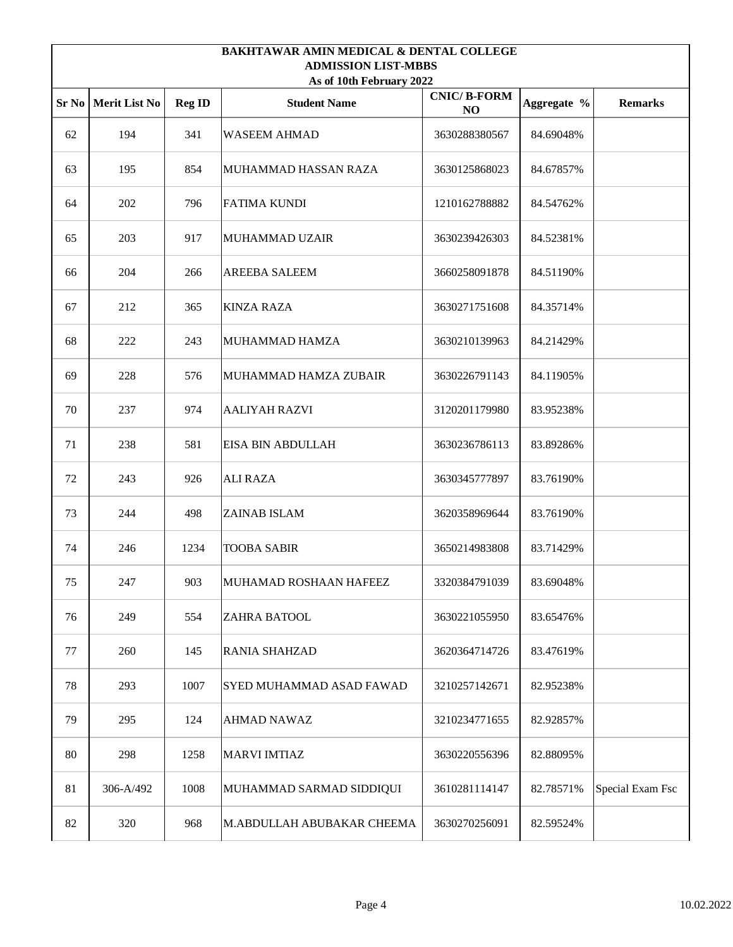| BAKHTAWAR AMIN MEDICAL & DENTAL COLLEGE<br><b>ADMISSION LIST-MBBS</b><br>As of 10th February 2022 |               |               |                            |                          |             |                  |
|---------------------------------------------------------------------------------------------------|---------------|---------------|----------------------------|--------------------------|-------------|------------------|
| Sr No                                                                                             | Merit List No | <b>Reg ID</b> | <b>Student Name</b>        | <b>CNIC/B-FORM</b><br>NO | Aggregate % | <b>Remarks</b>   |
| 62                                                                                                | 194           | 341           | <b>WASEEM AHMAD</b>        | 3630288380567            | 84.69048%   |                  |
| 63                                                                                                | 195           | 854           | MUHAMMAD HASSAN RAZA       | 3630125868023            | 84.67857%   |                  |
| 64                                                                                                | 202           | 796           | <b>FATIMA KUNDI</b>        | 1210162788882            | 84.54762%   |                  |
| 65                                                                                                | 203           | 917           | <b>MUHAMMAD UZAIR</b>      | 3630239426303            | 84.52381%   |                  |
| 66                                                                                                | 204           | 266           | <b>AREEBA SALEEM</b>       | 3660258091878            | 84.51190%   |                  |
| 67                                                                                                | 212           | 365           | <b>KINZA RAZA</b>          | 3630271751608            | 84.35714%   |                  |
| 68                                                                                                | 222           | 243           | MUHAMMAD HAMZA             | 3630210139963            | 84.21429%   |                  |
| 69                                                                                                | 228           | 576           | MUHAMMAD HAMZA ZUBAIR      | 3630226791143            | 84.11905%   |                  |
| 70                                                                                                | 237           | 974           | <b>AALIYAH RAZVI</b>       | 3120201179980            | 83.95238%   |                  |
| 71                                                                                                | 238           | 581           | EISA BIN ABDULLAH          | 3630236786113            | 83.89286%   |                  |
| 72                                                                                                | 243           | 926           | <b>ALI RAZA</b>            | 3630345777897            | 83.76190%   |                  |
| 73                                                                                                | 244           | 498           | <b>ZAINAB ISLAM</b>        | 3620358969644            | 83.76190%   |                  |
| 74                                                                                                | 246           | 1234          | <b>TOOBA SABIR</b>         | 3650214983808            | 83.71429%   |                  |
| 75                                                                                                | 247           | 903           | MUHAMAD ROSHAAN HAFEEZ     | 3320384791039            | 83.69048%   |                  |
| 76                                                                                                | 249           | 554           | ZAHRA BATOOL               | 3630221055950            | 83.65476%   |                  |
| 77                                                                                                | 260           | 145           | <b>RANIA SHAHZAD</b>       | 3620364714726            | 83.47619%   |                  |
| 78                                                                                                | 293           | 1007          | SYED MUHAMMAD ASAD FAWAD   | 3210257142671            | 82.95238%   |                  |
| 79                                                                                                | 295           | 124           | <b>AHMAD NAWAZ</b>         | 3210234771655            | 82.92857%   |                  |
| 80                                                                                                | 298           | 1258          | <b>MARVI IMTIAZ</b>        | 3630220556396            | 82.88095%   |                  |
| 81                                                                                                | 306-A/492     | 1008          | MUHAMMAD SARMAD SIDDIQUI   | 3610281114147            | 82.78571%   | Special Exam Fsc |
| 82                                                                                                | 320           | 968           | M.ABDULLAH ABUBAKAR CHEEMA | 3630270256091            | 82.59524%   |                  |